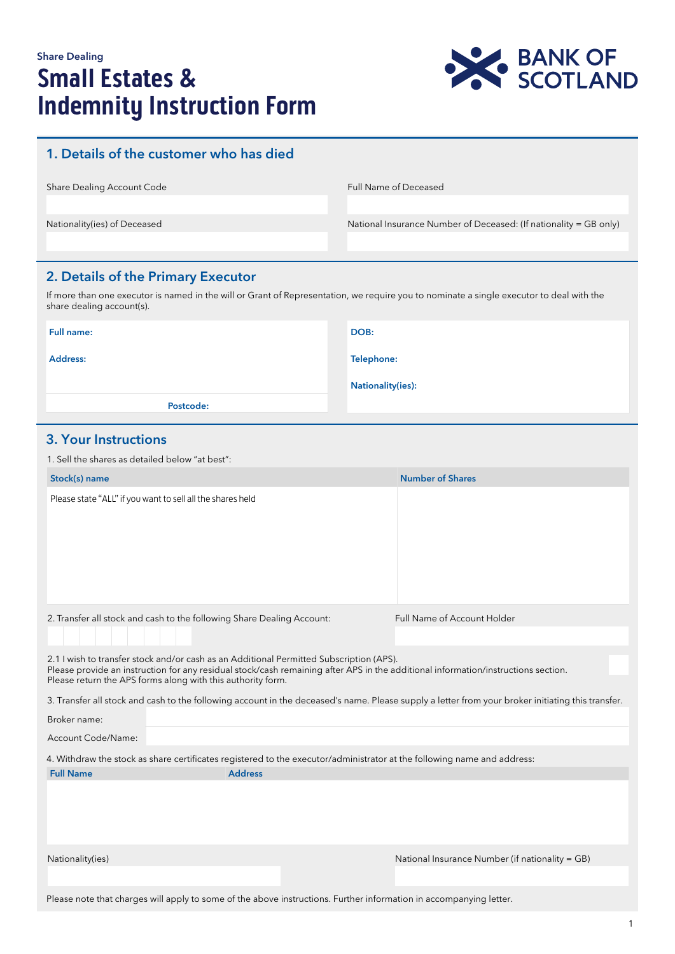# Share Dealing **Small Estates & Indemnity Instruction Form**



# 1. Details of the customer who has died

| Share Dealing Account Code   | <b>Full Name of Deceased</b>                                      |  |
|------------------------------|-------------------------------------------------------------------|--|
|                              |                                                                   |  |
| Nationality(ies) of Deceased | National Insurance Number of Deceased: (If nationality = GB only) |  |
|                              |                                                                   |  |

# 2. Details of the Primary Executor

If more than one executor is named in the will or Grant of Representation, we require you to nominate a single executor to deal with the share dealing account(s).

| Full name: | DOB:              |
|------------|-------------------|
| Address:   | Telephone:        |
|            | Nationality(ies): |
| Postcode:  |                   |

# 3. Your Instructions

1. Sell the shares as detailed below "at best":

| Stock(s) name                                                                                                                                                                                                                                                                               |                |  | <b>Number of Shares</b>                         |  |
|---------------------------------------------------------------------------------------------------------------------------------------------------------------------------------------------------------------------------------------------------------------------------------------------|----------------|--|-------------------------------------------------|--|
| Please state "ALL" if you want to sell all the shares held                                                                                                                                                                                                                                  |                |  |                                                 |  |
| 2. Transfer all stock and cash to the following Share Dealing Account:                                                                                                                                                                                                                      |                |  | Full Name of Account Holder                     |  |
| 2.1 I wish to transfer stock and/or cash as an Additional Permitted Subscription (APS).<br>Please provide an instruction for any residual stock/cash remaining after APS in the additional information/instructions section.<br>Please return the APS forms along with this authority form. |                |  |                                                 |  |
| 3. Transfer all stock and cash to the following account in the deceased's name. Please supply a letter from your broker initiating this transfer.                                                                                                                                           |                |  |                                                 |  |
| Broker name:                                                                                                                                                                                                                                                                                |                |  |                                                 |  |
| Account Code/Name:                                                                                                                                                                                                                                                                          |                |  |                                                 |  |
| 4. Withdraw the stock as share certificates registered to the executor/administrator at the following name and address:                                                                                                                                                                     |                |  |                                                 |  |
| <b>Full Name</b>                                                                                                                                                                                                                                                                            | <b>Address</b> |  |                                                 |  |
|                                                                                                                                                                                                                                                                                             |                |  |                                                 |  |
| Nationality(ies)                                                                                                                                                                                                                                                                            |                |  | National Insurance Number (if nationality = GB) |  |
|                                                                                                                                                                                                                                                                                             |                |  |                                                 |  |
|                                                                                                                                                                                                                                                                                             |                |  |                                                 |  |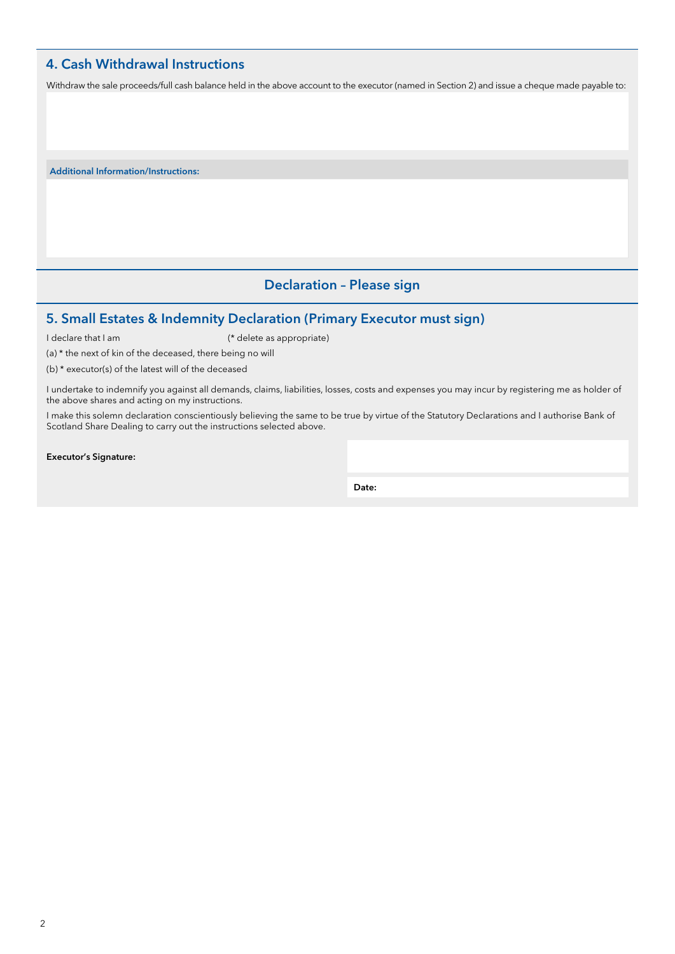# 4. Cash Withdrawal Instructions

Withdraw the sale proceeds/full cash balance held in the above account to the executor (named in Section 2) and issue a cheque made payable to:

Additional Information/Instructions:

(a) \* the next of kin of the deceased, there being no will (b) \* executor(s) of the latest will of the deceased

# Declaration – Please sign

# 5. Small Estates & Indemnity Declaration (Primary Executor must sign)

I declare that I am (\* delete as appropriate)

I undertake to indemnify you against all demands, claims, liabilities, losses, costs and expenses you may incur by registering me as holder of the above shares and acting on my instructions.

I make this solemn declaration conscientiously believing the same to be true by virtue of the Statutory Declarations and I authorise Bank of Scotland Share Dealing to carry out the instructions selected above.

Executor's Signature:

Date: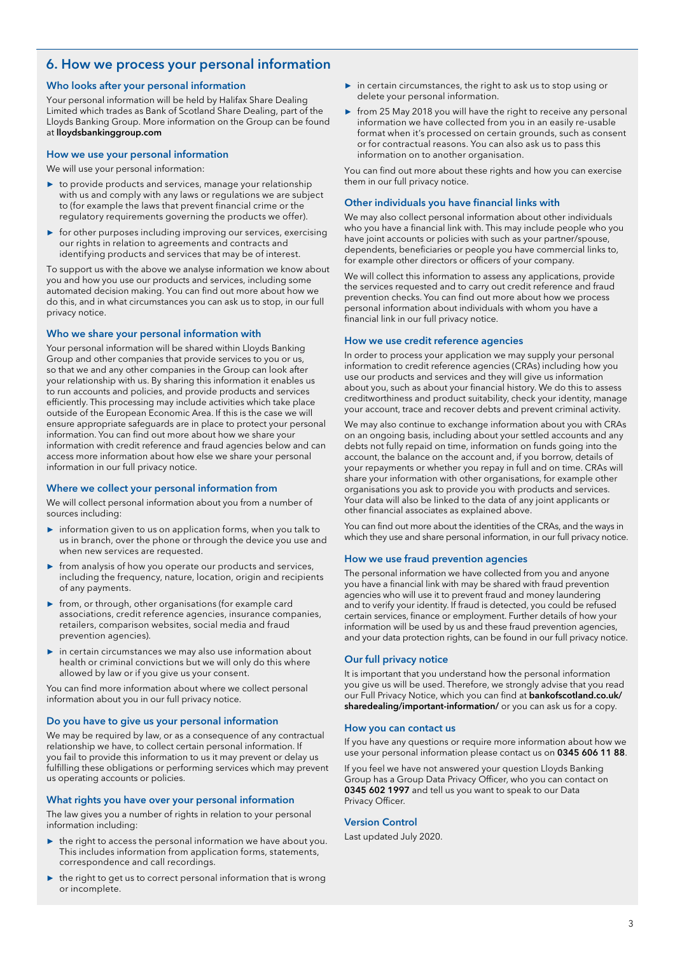# 6. How we process your personal information

# Who looks after your personal information

Your personal information will be held by Halifax Share Dealing Limited which trades as Bank of Scotland Share Dealing, part of the Lloyds Banking Group. More information on the Group can be found at lloydsbankinggroup.com

## How we use your personal information

We will use your personal information:

- **►** to provide products and services, manage your relationship with us and comply with any laws or regulations we are subject to (for example the laws that prevent financial crime or the regulatory requirements governing the products we offer).
- **►** for other purposes including improving our services, exercising our rights in relation to agreements and contracts and identifying products and services that may be of interest.

To support us with the above we analyse information we know about you and how you use our products and services, including some automated decision making. You can find out more about how we do this, and in what circumstances you can ask us to stop, in our full privacy notice.

# Who we share your personal information with

Your personal information will be shared within Lloyds Banking Group and other companies that provide services to you or us, so that we and any other companies in the Group can look after your relationship with us. By sharing this information it enables us to run accounts and policies, and provide products and services efficiently. This processing may include activities which take place outside of the European Economic Area. If this is the case we will ensure appropriate safeguards are in place to protect your personal information. You can find out more about how we share your information with credit reference and fraud agencies below and can access more information about how else we share your personal information in our full privacy notice.

## Where we collect your personal information from

We will collect personal information about you from a number of sources including:

- **►** information given to us on application forms, when you talk to us in branch, over the phone or through the device you use and when new services are requested.
- **►** from analysis of how you operate our products and services, including the frequency, nature, location, origin and recipients of any payments.
- **►** from, or through, other organisations (for example card associations, credit reference agencies, insurance companies, retailers, comparison websites, social media and fraud prevention agencies).
- **►** in certain circumstances we may also use information about health or criminal convictions but we will only do this where allowed by law or if you give us your consent.

You can find more information about where we collect personal information about you in our full privacy notice.

## Do you have to give us your personal information

We may be required by law, or as a consequence of any contractual relationship we have, to collect certain personal information. If you fail to provide this information to us it may prevent or delay us fulfilling these obligations or performing services which may prevent us operating accounts or policies.

## What rights you have over your personal information

The law gives you a number of rights in relation to your personal information including:

- **►** the right to access the personal information we have about you. This includes information from application forms, statements, correspondence and call recordings.
- **►** the right to get us to correct personal information that is wrong or incomplete.
- **►** in certain circumstances, the right to ask us to stop using or delete your personal information.
- ► from 25 May 2018 you will have the right to receive any personal information we have collected from you in an easily re-usable format when it's processed on certain grounds, such as consent or for contractual reasons. You can also ask us to pass this information on to another organisation.

You can find out more about these rights and how you can exercise them in our full privacy notice.

## Other individuals you have financial links with

We may also collect personal information about other individuals who you have a financial link with. This may include people who you have joint accounts or policies with such as your partner/spouse, dependents, beneficiaries or people you have commercial links to, for example other directors or officers of your company.

We will collect this information to assess any applications, provide the services requested and to carry out credit reference and fraud prevention checks. You can find out more about how we process personal information about individuals with whom you have a financial link in our full privacy notice.

## How we use credit reference agencies

In order to process your application we may supply your personal information to credit reference agencies (CRAs) including how you use our products and services and they will give us information about you, such as about your financial history. We do this to assess creditworthiness and product suitability, check your identity, manage your account, trace and recover debts and prevent criminal activity.

We may also continue to exchange information about you with CRAs on an ongoing basis, including about your settled accounts and any debts not fully repaid on time, information on funds going into the account, the balance on the account and, if you borrow, details of your repayments or whether you repay in full and on time. CRAs will share your information with other organisations, for example other organisations you ask to provide you with products and services. Your data will also be linked to the data of any joint applicants or other financial associates as explained above.

You can find out more about the identities of the CRAs, and the ways in which they use and share personal information, in our full privacy notice.

## How we use fraud prevention agencies

The personal information we have collected from you and anyone you have a financial link with may be shared with fraud prevention agencies who will use it to prevent fraud and money laundering and to verify your identity. If fraud is detected, you could be refused certain services, finance or employment. Further details of how your information will be used by us and these fraud prevention agencies, and your data protection rights, can be found in our full privacy notice.

## Our full privacy notice

It is important that you understand how the personal information you give us will be used. Therefore, we strongly advise that you read our Full Privacy Notice, which you can find at **bankofscotland.co.uk/** sharedealing/important-information/ or you can ask us for a copy.

## How you can contact us

If you have any questions or require more information about how we use your personal information please contact us on 0345 606 11 88.

If you feel we have not answered your question Lloyds Banking Group has a Group Data Privacy Officer, who you can contact on 0345 602 1997 and tell us you want to speak to our Data Privacy Officer.

## Version Control

Last updated July 2020.